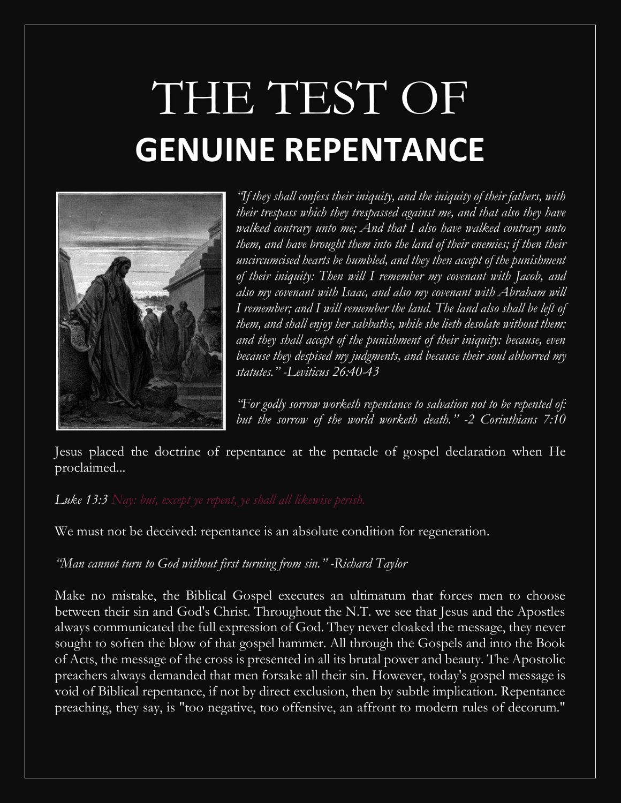# THE TEST OF **GENUINE REPENTANCE**



*"If they shall confess their iniquity, and the iniquity of their fathers, with their trespass which they trespassed against me, and that also they have walked contrary unto me; And that I also have walked contrary unto them, and have brought them into the land of their enemies; if then their uncircumcised hearts be humbled, and they then accept of the punishment of their iniquity: Then will I remember my covenant with Jacob, and also my covenant with Isaac, and also my covenant with Abraham will I remember; and I will remember the land. The land also shall be left of them, and shall enjoy her sabbaths, while she lieth desolate without them: and they shall accept of the punishment of their iniquity: because, even because they despised my judgments, and because their soul abhorred my statutes." -Leviticus 26:40-43*

*"For godly sorrow worketh repentance to salvation not to be repented of: but the sorrow of the world worketh death." -2 Corinthians 7:10*

Jesus placed the doctrine of repentance at the pentacle of gospel declaration when He proclaimed...

*Luke 13:3 Nay: but, except ye repent, ye shall all likewise perish.* 

We must not be deceived: repentance is an absolute condition for regeneration.

*"Man cannot turn to God without first turning from sin." -Richard Taylor*

Make no mistake, the Biblical Gospel executes an ultimatum that forces men to choose between their sin and God's Christ. Throughout the N.T. we see that Jesus and the Apostles always communicated the full expression of God. They never cloaked the message, they never sought to soften the blow of that gospel hammer. All through the Gospels and into the Book of Acts, the message of the cross is presented in all its brutal power and beauty. The Apostolic preachers always demanded that men forsake all their sin. However, today's gospel message is void of Biblical repentance, if not by direct exclusion, then by subtle implication. Repentance preaching, they say, is "too negative, too offensive, an affront to modern rules of decorum."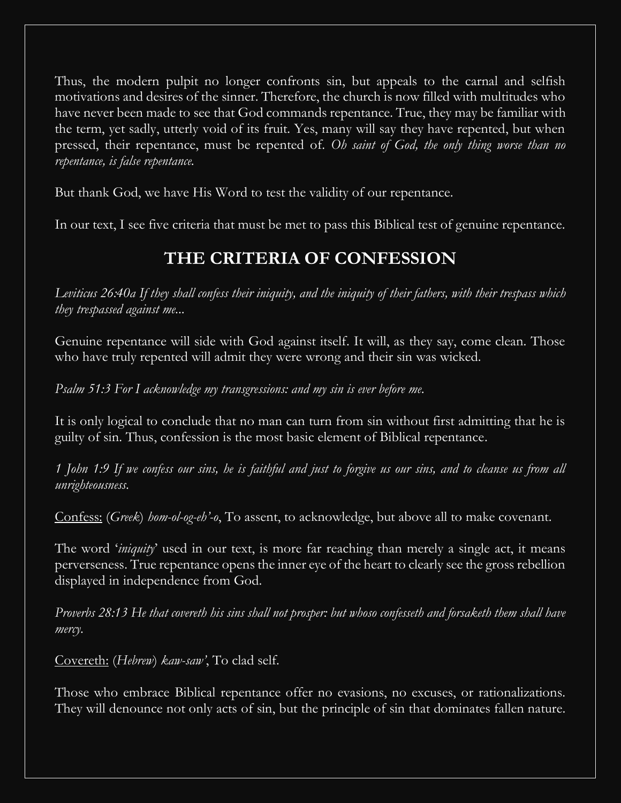Thus, the modern pulpit no longer confronts sin, but appeals to the carnal and selfish motivations and desires of the sinner. Therefore, the church is now filled with multitudes who have never been made to see that God commands repentance. True, they may be familiar with the term, yet sadly, utterly void of its fruit. Yes, many will say they have repented, but when pressed, their repentance, must be repented of. *Oh saint of God, the only thing worse than no repentance, is false repentance.*

But thank God, we have His Word to test the validity of our repentance.

In our text, I see five criteria that must be met to pass this Biblical test of genuine repentance.

## **THE CRITERIA OF CONFESSION**

*Leviticus 26:40a If they shall confess their iniquity, and the iniquity of their fathers, with their trespass which they trespassed against me...*

Genuine repentance will side with God against itself. It will, as they say, come clean. Those who have truly repented will admit they were wrong and their sin was wicked.

*Psalm 51:3 For I acknowledge my transgressions: and my sin is ever before me.* 

It is only logical to conclude that no man can turn from sin without first admitting that he is guilty of sin. Thus, confession is the most basic element of Biblical repentance.

*1 John 1:9 If we confess our sins, he is faithful and just to forgive us our sins, and to cleanse us from all unrighteousness.* 

Confess: (*Greek*) *hom-ol-og-eh'-o*, To assent, to acknowledge, but above all to make covenant.

The word '*iniquity*' used in our text, is more far reaching than merely a single act, it means perverseness. True repentance opens the inner eye of the heart to clearly see the gross rebellion displayed in independence from God.

*Proverbs 28:13 He that covereth his sins shall not prosper: but whoso confesseth and forsaketh them shall have mercy.* 

Covereth: (*Hebrew*) *kaw-saw'*, To clad self.

Those who embrace Biblical repentance offer no evasions, no excuses, or rationalizations. They will denounce not only acts of sin, but the principle of sin that dominates fallen nature.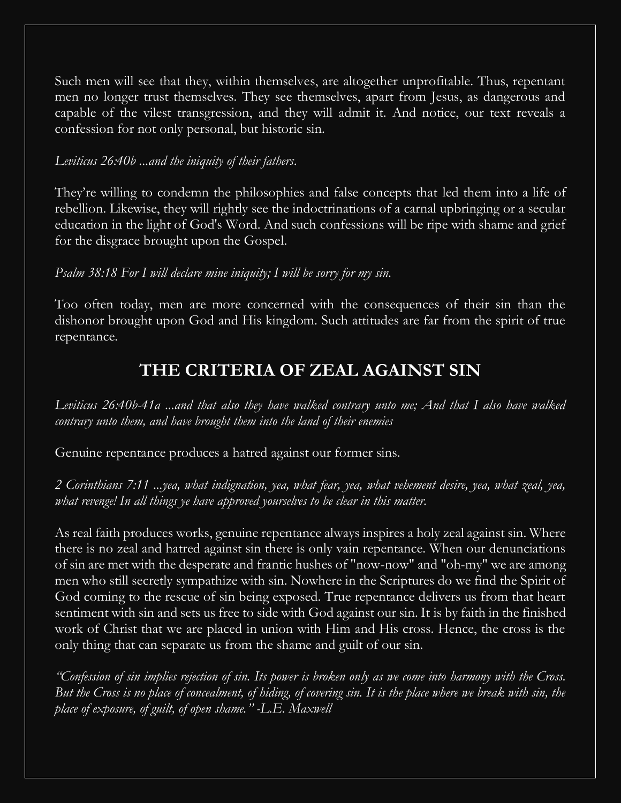Such men will see that they, within themselves, are altogether unprofitable. Thus, repentant men no longer trust themselves. They see themselves, apart from Jesus, as dangerous and capable of the vilest transgression, and they will admit it. And notice, our text reveals a confession for not only personal, but historic sin.

#### *Leviticus 26:40b ...and the iniquity of their fathers.*

They're willing to condemn the philosophies and false concepts that led them into a life of rebellion. Likewise, they will rightly see the indoctrinations of a carnal upbringing or a secular education in the light of God's Word. And such confessions will be ripe with shame and grief for the disgrace brought upon the Gospel.

#### *Psalm 38:18 For I will declare mine iniquity; I will be sorry for my sin.*

Too often today, men are more concerned with the consequences of their sin than the dishonor brought upon God and His kingdom. Such attitudes are far from the spirit of true repentance.

## **THE CRITERIA OF ZEAL AGAINST SIN**

*Leviticus 26:40b-41a ...and that also they have walked contrary unto me; And that I also have walked contrary unto them, and have brought them into the land of their enemies*

Genuine repentance produces a hatred against our former sins.

*2 Corinthians 7:11 ...yea, what indignation, yea, what fear, yea, what vehement desire, yea, what zeal, yea, what revenge! In all things ye have approved yourselves to be clear in this matter.* 

As real faith produces works, genuine repentance always inspires a holy zeal against sin. Where there is no zeal and hatred against sin there is only vain repentance. When our denunciations of sin are met with the desperate and frantic hushes of "now-now" and "oh-my" we are among men who still secretly sympathize with sin. Nowhere in the Scriptures do we find the Spirit of God coming to the rescue of sin being exposed. True repentance delivers us from that heart sentiment with sin and sets us free to side with God against our sin. It is by faith in the finished work of Christ that we are placed in union with Him and His cross. Hence, the cross is the only thing that can separate us from the shame and guilt of our sin.

*"Confession of sin implies rejection of sin. Its power is broken only as we come into harmony with the Cross. But the Cross is no place of concealment, of hiding, of covering sin. It is the place where we break with sin, the place of exposure, of guilt, of open shame." -L.E. Maxwell*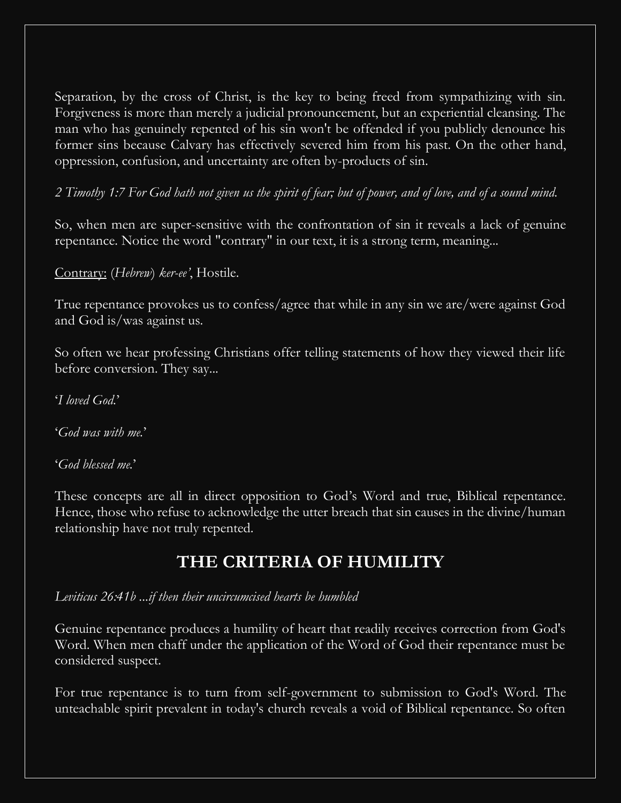Separation, by the cross of Christ, is the key to being freed from sympathizing with sin. Forgiveness is more than merely a judicial pronouncement, but an experiential cleansing. The man who has genuinely repented of his sin won't be offended if you publicly denounce his former sins because Calvary has effectively severed him from his past. On the other hand, oppression, confusion, and uncertainty are often by-products of sin.

*2 Timothy 1:7 For God hath not given us the spirit of fear; but of power, and of love, and of a sound mind.* 

So, when men are super-sensitive with the confrontation of sin it reveals a lack of genuine repentance. Notice the word "contrary" in our text, it is a strong term, meaning...

Contrary: (*Hebrew*) *ker-ee'*, Hostile.

True repentance provokes us to confess/agree that while in any sin we are/were against God and God is/was against us.

So often we hear professing Christians offer telling statements of how they viewed their life before conversion. They say...

'*I loved God.*'

'*God was with me.*'

'*God blessed me.*'

These concepts are all in direct opposition to God's Word and true, Biblical repentance. Hence, those who refuse to acknowledge the utter breach that sin causes in the divine/human relationship have not truly repented.

## **THE CRITERIA OF HUMILITY**

*Leviticus 26:41b ...if then their uncircumcised hearts be humbled*

Genuine repentance produces a humility of heart that readily receives correction from God's Word. When men chaff under the application of the Word of God their repentance must be considered suspect.

For true repentance is to turn from self-government to submission to God's Word. The unteachable spirit prevalent in today's church reveals a void of Biblical repentance. So often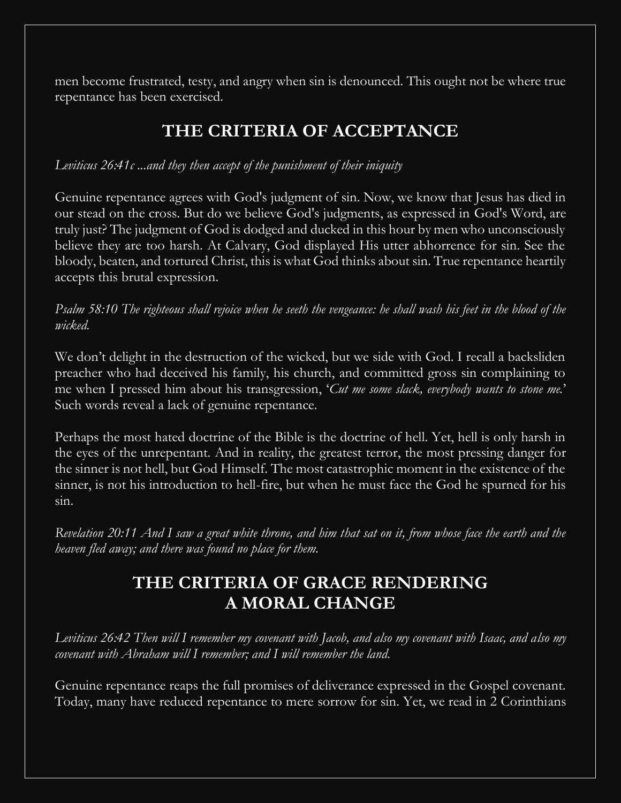men become frustrated, testy, and angry when sin is denounced. This ought not be where true repentance has been exercised.

# **THE CRITERIA OF ACCEPTANCE**

#### *Leviticus 26:41c ...and they then accept of the punishment of their iniquity*

Genuine repentance agrees with God's judgment of sin. Now, we know that Jesus has died in our stead on the cross. But do we believe God's judgments, as expressed in God's Word, are truly just? The judgment of God is dodged and ducked in this hour by men who unconsciously believe they are too harsh. At Calvary, God displayed His utter abhorrence for sin. See the bloody, beaten, and tortured Christ, this is what God thinks about sin. True repentance heartily accepts this brutal expression.

*Psalm 58:10 The righteous shall rejoice when he seeth the vengeance: he shall wash his feet in the blood of the wicked.* 

We don't delight in the destruction of the wicked, but we side with God. I recall a backsliden preacher who had deceived his family, his church, and committed gross sin complaining to me when I pressed him about his transgression, '*Cut me some slack, everybody wants to stone me.*' Such words reveal a lack of genuine repentance.

Perhaps the most hated doctrine of the Bible is the doctrine of hell. Yet, hell is only harsh in the eyes of the unrepentant. And in reality, the greatest terror, the most pressing danger for the sinner is not hell, but God Himself. The most catastrophic moment in the existence of the sinner, is not his introduction to hell-fire, but when he must face the God he spurned for his sin.

*Revelation 20:11 And I saw a great white throne, and him that sat on it, from whose face the earth and the heaven fled away; and there was found no place for them.* 

# **THE CRITERIA OF GRACE RENDERING A MORAL CHANGE**

*Leviticus 26:42 Then will I remember my covenant with Jacob, and also my covenant with Isaac, and also my covenant with Abraham will I remember; and I will remember the land.* 

Genuine repentance reaps the full promises of deliverance expressed in the Gospel covenant. Today, many have reduced repentance to mere sorrow for sin. Yet, we read in 2 Corinthians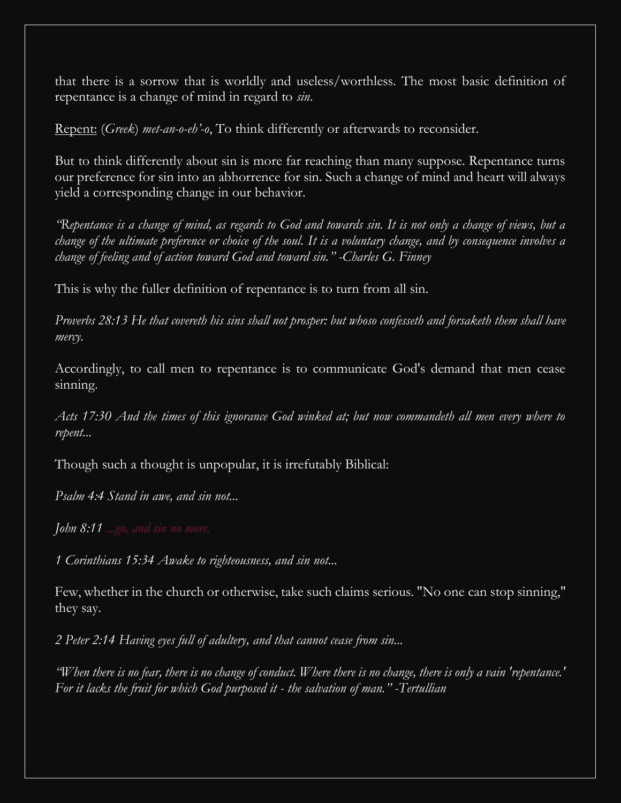that there is a sorrow that is worldly and useless/worthless. The most basic definition of repentance is a change of mind in regard to *sin*.

Repent: (*Greek*) *met-an-o-eh'-o*, To think differently or afterwards to reconsider.

But to think differently about sin is more far reaching than many suppose. Repentance turns our preference for sin into an abhorrence for sin. Such a change of mind and heart will always yield a corresponding change in our behavior.

*"Repentance is a change of mind, as regards to God and towards sin. It is not only a change of views, but a change of the ultimate preference or choice of the soul. It is a voluntary change, and by consequence involves a change of feeling and of action toward God and toward sin." -Charles G. Finney* 

This is why the fuller definition of repentance is to turn from all sin.

*Proverbs 28:13 He that covereth his sins shall not prosper: but whoso confesseth and forsaketh them shall have mercy.* 

Accordingly, to call men to repentance is to communicate God's demand that men cease sinning.

*Acts 17:30 And the times of this ignorance God winked at; but now commandeth all men every where to repent...* 

Though such a thought is unpopular, it is irrefutably Biblical:

*Psalm 4:4 Stand in awe, and sin not...*

*John 8:11 ...go, and sin no more.* 

*1 Corinthians 15:34 Awake to righteousness, and sin not...* 

Few, whether in the church or otherwise, take such claims serious. "No one can stop sinning," they say.

*2 Peter 2:14 Having eyes full of adultery, and that cannot cease from sin...* 

*"When there is no fear, there is no change of conduct. Where there is no change, there is only a vain 'repentance.' For it lacks the fruit for which God purposed it - the salvation of man." -Tertullian*